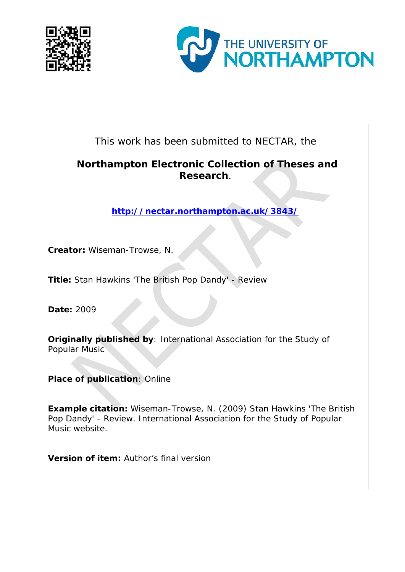



This work has been submitted to NECTAR, the

## **Northampton Electronic Collection of Theses and Research**.

**<http://nectar.northampton.ac.uk/3843/>**

**Creator:** Wiseman-Trowse, N.

**Title:** Stan Hawkins 'The British Pop Dandy' - Review

**Date:** 2009

**Originally published by**: International Association for the Study of Popular Music

**Place of publication**: Online

**Example citation:** Wiseman-Trowse, N. (2009) Stan Hawkins 'The British Pop Dandy' - Review. *International Association for the Study of Popular Music website.*

**Version of item:** Author's final version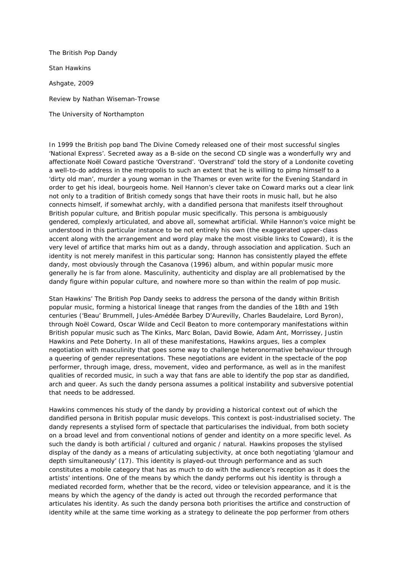*The British Pop Dandy* Stan Hawkins Ashgate, 2009 Review by Nathan Wiseman-Trowse The University of Northampton

In 1999 the British pop band The Divine Comedy released one of their most successful singles 'National Express'. Secreted away as a B-side on the second CD single was a wonderfully wry and affectionate Noël Coward pastiche 'Overstrand'. 'Overstrand' told the story of a Londonite coveting a well-to-do address in the metropolis to such an extent that he is willing to pimp himself to a 'dirty old man', murder a young woman in the Thames or even write for the Evening Standard in order to get his ideal, bourgeois home. Neil Hannon's clever take on Coward marks out a clear link not only to a tradition of British comedy songs that have their roots in music hall, but he also connects himself, if somewhat archly, with a dandified persona that manifests itself throughout British popular culture, and British popular music specifically. This persona is ambiguously gendered, complexly articulated, and above all, somewhat artificial. While Hannon's voice might be understood in this particular instance to be not entirely his own (the exaggerated upper-class accent along with the arrangement and word play make the most visible links to Coward), it is the very level of artifice that marks him out as a dandy, through association and application. Such an identity is not merely manifest in this particular song; Hannon has consistently played the effete dandy, most obviously through the *Casanova* (1996) album, and within popular music more generally he is far from alone. Masculinity, authenticity and display are all problematised by the dandy figure within popular culture, and nowhere more so than within the realm of pop music.

Stan Hawkins' *The British Pop Dandy* seeks to address the persona of the dandy within British popular music, forming a historical lineage that ranges from the dandies of the 18th and 19th centuries ('Beau' Brummell, Jules-Amédée Barbey D'Aurevilly, Charles Baudelaire, Lord Byron), through Noël Coward, Oscar Wilde and Cecil Beaton to more contemporary manifestations within British popular music such as The Kinks, Marc Bolan, David Bowie, Adam Ant, Morrissey, Justin Hawkins and Pete Doherty. In all of these manifestations, Hawkins argues, lies a complex negotiation with masculinity that goes some way to challenge heteronormative behaviour through a queering of gender representations. These negotiations are evident in the spectacle of the pop performer, through image, dress, movement, video and performance, as well as in the manifest qualities of recorded music, in such a way that fans are able to identify the pop star as dandified, arch and queer. As such the dandy persona assumes a political instability and subversive potential that needs to be addressed.

Hawkins commences his study of the dandy by providing a historical context out of which the dandified persona in British popular music develops. This context is post-industrialised society. The dandy represents a stylised form of spectacle that particularises the individual, from both society on a broad level and from conventional notions of gender and identity on a more specific level. As such the dandy is both artificial / cultured and organic / natural. Hawkins proposes the stylised display of the dandy as a means of articulating subjectivity, at once both negotiating 'glamour and depth simultaneously' (17). This identity is played-out through performance and as such constitutes a mobile category that has as much to do with the audience's reception as it does the artists' intentions. One of the means by which the dandy performs out his identity is through a mediated recorded form, whether that be the record, video or television appearance, and it is the means by which the agency of the dandy is acted out through the recorded performance that articulates his identity. As such the dandy persona both prioritises the artifice and construction of identity while at the same time working as a strategy to delineate the pop performer from others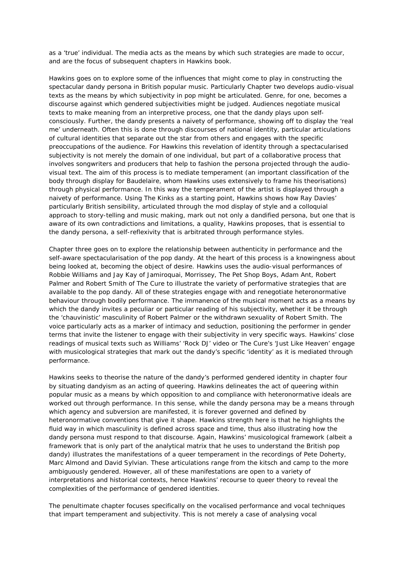as a 'true' individual. The media acts as the means by which such strategies are made to occur, and are the focus of subsequent chapters in Hawkins book.

Hawkins goes on to explore some of the influences that might come to play in constructing the spectacular dandy persona in British popular music. Particularly Chapter two develops audio-visual texts as the means by which subjectivity in pop might be articulated. Genre, for one, becomes a discourse against which gendered subjectivities might be judged. Audiences negotiate musical texts to make meaning from an interpretive process, one that the dandy plays upon selfconsciously. Further, the dandy presents a naivety of performance, showing off to display the 'real me' underneath. Often this is done through discourses of national identity, particular articulations of cultural identities that separate out the star from others and engages with the specific preoccupations of the audience. For Hawkins this revelation of identity through a spectacularised subjectivity is not merely the domain of one individual, but part of a collaborative process that involves songwriters and producers that help to fashion the persona projected through the audiovisual text. The aim of this process is to mediate temperament (an important classification of the body through display for Baudelaire, whom Hawkins uses extensively to frame his theorisations) through physical performance. In this way the temperament of the artist is displayed through a naivety of performance. Using The Kinks as a starting point, Hawkins shows how Ray Davies' particularly British sensibility, articulated through the mod display of style and a colloquial approach to story-telling and music making, mark out not only a dandified persona, but one that is aware of its own contradictions and limitations, a quality, Hawkins proposes, that is essential to the dandy persona, a self-reflexivity that is arbitrated through performance styles.

Chapter three goes on to explore the relationship between authenticity in performance and the self-aware spectacularisation of the pop dandy. At the heart of this process is a knowingness about being looked at, becoming the object of desire. Hawkins uses the audio-visual performances of Robbie Williams and Jay Kay of Jamiroquai, Morrissey, The Pet Shop Boys, Adam Ant, Robert Palmer and Robert Smith of The Cure to illustrate the variety of performative strategies that are available to the pop dandy. All of these strategies engage with and renegotiate heteronormative behaviour through bodily performance. The immanence of the musical moment acts as a means by which the dandy invites a peculiar or particular reading of his subjectivity, whether it be through the 'chauvinistic' masculinity of Robert Palmer or the withdrawn sexuality of Robert Smith. The voice particularly acts as a marker of intimacy and seduction, positioning the performer in gender terms that invite the listener to engage with their subjectivity in very specific ways. Hawkins' close readings of musical texts such as Williams' 'Rock DJ' video or The Cure's 'Just Like Heaven' engage with musicological strategies that mark out the dandy's specific 'identity' as it is mediated through performance.

Hawkins seeks to theorise the nature of the dandy's performed gendered identity in chapter four by situating dandyism as an acting of queering. Hawkins delineates the act of queering within popular music as a means by which opposition to and compliance with heteronormative ideals are worked out through performance. In this sense, while the dandy persona may be a means through which agency and subversion are manifested, it is forever governed and defined by heteronormative conventions that give it shape. Hawkins strength here is that he highlights the fluid way in which masculinity is defined across space and time, thus also illustrating how the dandy persona must respond to that discourse. Again, Hawkins' musicological framework (albeit a framework that is only part of the analytical matrix that he uses to understand the British pop dandy) illustrates the manifestations of a queer temperament in the recordings of Pete Doherty, Marc Almond and David Sylvian. These articulations range from the kitsch and camp to the more ambiguously gendered. However, all of these manifestations are open to a variety of interpretations and historical contexts, hence Hawkins' recourse to queer theory to reveal the complexities of the performance of gendered identities.

The penultimate chapter focuses specifically on the vocalised performance and vocal techniques that impart temperament and subjectivity. This is not merely a case of analysing vocal